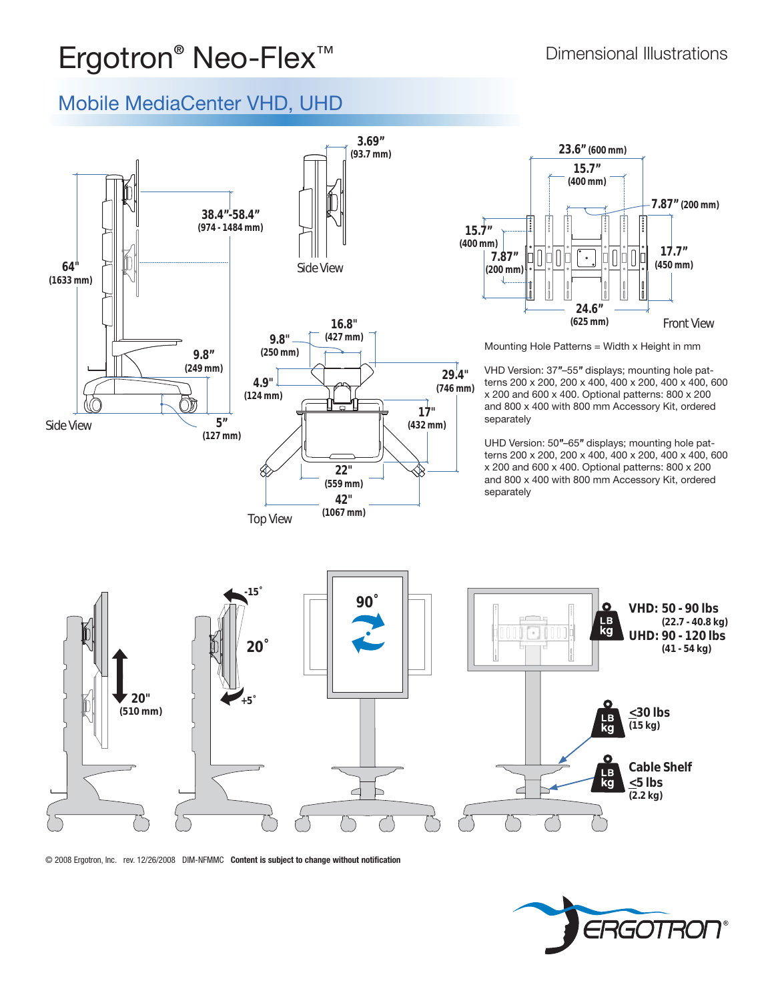### **Ergotron<sup>®</sup> Neo-Flex™** Dimensional Illustrations

#### Mobile MediaCenter VHD, UHD



© 2008 Ergotron, Inc. rev. 12/26/2008 DIM-NFMMC **Content is subject to change without notification**

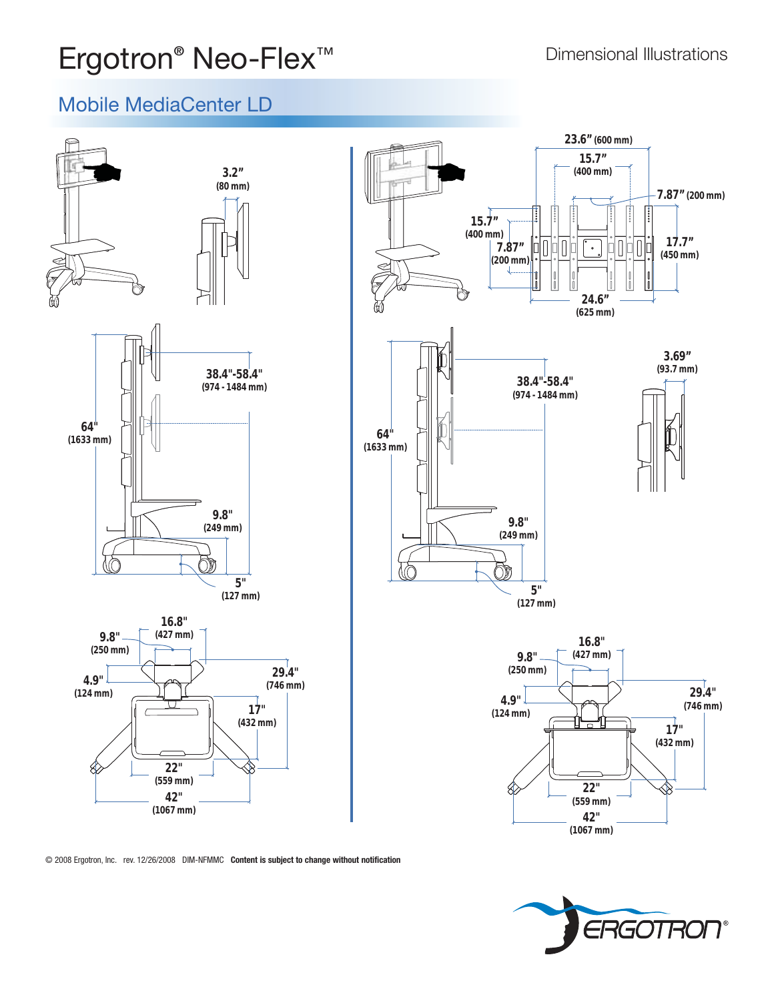# **Ergotron<sup>®</sup> Neo-Flex™** Dimensional Illustrations

#### Mobile MediaCenter LD





© 2008 Ergotron, Inc. rev. 12/26/2008 DIM-NFMMC **Content is subject to change without notification**